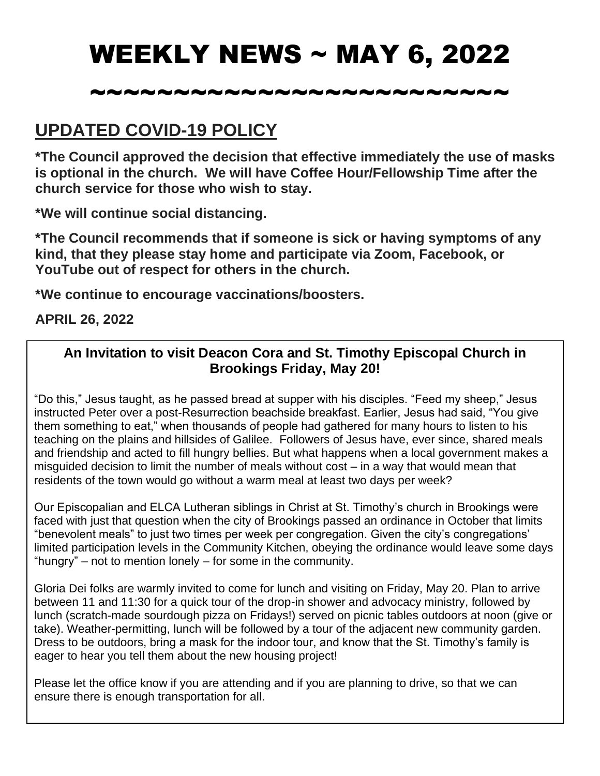# WEEKLY NEWS ~ MAY 6, 2022

# ~~~~~~~~~~~~~~~~~~~~~~~~~

# **UPDATED COVID-19 POLICY**

**\*The Council approved the decision that effective immediately the use of masks is optional in the church. We will have Coffee Hour/Fellowship Time after the church service for those who wish to stay.**

**\*We will continue social distancing.**

**\*The Council recommends that if someone is sick or having symptoms of any kind, that they please stay home and participate via Zoom, Facebook, or YouTube out of respect for others in the church.**

**\*We continue to encourage vaccinations/boosters.**

#### **APRIL 26, 2022**

#### **An Invitation to visit Deacon Cora and St. Timothy Episcopal Church in Brookings Friday, May 20!**

"Do this," Jesus taught, as he passed bread at supper with his disciples. "Feed my sheep," Jesus instructed Peter over a post-Resurrection beachside breakfast. Earlier, Jesus had said, "You give them something to eat," when thousands of people had gathered for many hours to listen to his teaching on the plains and hillsides of Galilee. Followers of Jesus have, ever since, shared meals and friendship and acted to fill hungry bellies. But what happens when a local government makes a misguided decision to limit the number of meals without cost – in a way that would mean that residents of the town would go without a warm meal at least two days per week?

Our Episcopalian and ELCA Lutheran siblings in Christ at St. Timothy's church in Brookings were faced with just that question when the city of Brookings passed an ordinance in October that limits "benevolent meals" to just two times per week per congregation. Given the city's congregations' limited participation levels in the Community Kitchen, obeying the ordinance would leave some days "hungry" – not to mention lonely – for some in the community.

Gloria Dei folks are warmly invited to come for lunch and visiting on Friday, May 20. Plan to arrive between 11 and 11:30 for a quick tour of the drop-in shower and advocacy ministry, followed by lunch (scratch-made sourdough pizza on Fridays!) served on picnic tables outdoors at noon (give or take). Weather-permitting, lunch will be followed by a tour of the adjacent new community garden. Dress to be outdoors, bring a mask for the indoor tour, and know that the St. Timothy's family is eager to hear you tell them about the new housing project!

Please let the office know if you are attending and if you are planning to drive, so that we can ensure there is enough transportation for all.